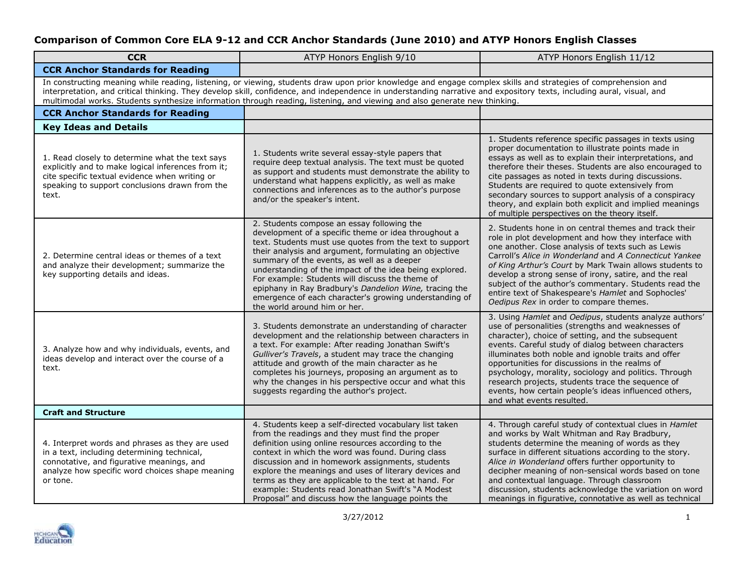| <b>CCR</b>                                                                                                                                                                                                                                                                                                                                                                                                                                                           | ATYP Honors English 9/10                                                                                                                                                                                                                                                                                                                                                                                                                                                                                                               | ATYP Honors English 11/12                                                                                                                                                                                                                                                                                                                                                                                                                                                                                                           |  |
|----------------------------------------------------------------------------------------------------------------------------------------------------------------------------------------------------------------------------------------------------------------------------------------------------------------------------------------------------------------------------------------------------------------------------------------------------------------------|----------------------------------------------------------------------------------------------------------------------------------------------------------------------------------------------------------------------------------------------------------------------------------------------------------------------------------------------------------------------------------------------------------------------------------------------------------------------------------------------------------------------------------------|-------------------------------------------------------------------------------------------------------------------------------------------------------------------------------------------------------------------------------------------------------------------------------------------------------------------------------------------------------------------------------------------------------------------------------------------------------------------------------------------------------------------------------------|--|
| <b>CCR Anchor Standards for Reading</b>                                                                                                                                                                                                                                                                                                                                                                                                                              |                                                                                                                                                                                                                                                                                                                                                                                                                                                                                                                                        |                                                                                                                                                                                                                                                                                                                                                                                                                                                                                                                                     |  |
| In constructing meaning while reading, listening, or viewing, students draw upon prior knowledge and engage complex skills and strategies of comprehension and<br>interpretation, and critical thinking. They develop skill, confidence, and independence in understanding narrative and expository texts, including aural, visual, and<br>multimodal works. Students synthesize information through reading, listening, and viewing and also generate new thinking. |                                                                                                                                                                                                                                                                                                                                                                                                                                                                                                                                        |                                                                                                                                                                                                                                                                                                                                                                                                                                                                                                                                     |  |
| <b>CCR Anchor Standards for Reading</b>                                                                                                                                                                                                                                                                                                                                                                                                                              |                                                                                                                                                                                                                                                                                                                                                                                                                                                                                                                                        |                                                                                                                                                                                                                                                                                                                                                                                                                                                                                                                                     |  |
| <b>Key Ideas and Details</b>                                                                                                                                                                                                                                                                                                                                                                                                                                         |                                                                                                                                                                                                                                                                                                                                                                                                                                                                                                                                        |                                                                                                                                                                                                                                                                                                                                                                                                                                                                                                                                     |  |
| 1. Read closely to determine what the text says<br>explicitly and to make logical inferences from it;<br>cite specific textual evidence when writing or<br>speaking to support conclusions drawn from the<br>text.                                                                                                                                                                                                                                                   | 1. Students write several essay-style papers that<br>require deep textual analysis. The text must be quoted<br>as support and students must demonstrate the ability to<br>understand what happens explicitly, as well as make<br>connections and inferences as to the author's purpose<br>and/or the speaker's intent.                                                                                                                                                                                                                 | 1. Students reference specific passages in texts using<br>proper documentation to illustrate points made in<br>essays as well as to explain their interpretations, and<br>therefore their theses. Students are also encouraged to<br>cite passages as noted in texts during discussions.<br>Students are required to quote extensively from<br>secondary sources to support analysis of a conspiracy<br>theory, and explain both explicit and implied meanings<br>of multiple perspectives on the theory itself.                    |  |
| 2. Determine central ideas or themes of a text<br>and analyze their development; summarize the<br>key supporting details and ideas.                                                                                                                                                                                                                                                                                                                                  | 2. Students compose an essay following the<br>development of a specific theme or idea throughout a<br>text. Students must use quotes from the text to support<br>their analysis and argument, formulating an objective<br>summary of the events, as well as a deeper<br>understanding of the impact of the idea being explored.<br>For example: Students will discuss the theme of<br>epiphany in Ray Bradbury's Dandelion Wine, tracing the<br>emergence of each character's growing understanding of<br>the world around him or her. | 2. Students hone in on central themes and track their<br>role in plot development and how they interface with<br>one another. Close analysis of texts such as Lewis<br>Carroll's Alice in Wonderland and A Connecticut Yankee<br>of King Arthur's Court by Mark Twain allows students to<br>develop a strong sense of irony, satire, and the real<br>subject of the author's commentary. Students read the<br>entire text of Shakespeare's Hamlet and Sophocles'<br>Oedipus Rex in order to compare themes.                         |  |
| 3. Analyze how and why individuals, events, and<br>ideas develop and interact over the course of a<br>text.                                                                                                                                                                                                                                                                                                                                                          | 3. Students demonstrate an understanding of character<br>development and the relationship between characters in<br>a text. For example: After reading Jonathan Swift's<br>Gulliver's Travels, a student may trace the changing<br>attitude and growth of the main character as he<br>completes his journeys, proposing an argument as to<br>why the changes in his perspective occur and what this<br>suggests regarding the author's project.                                                                                         | 3. Using Hamlet and Oedipus, students analyze authors'<br>use of personalities (strengths and weaknesses of<br>character), choice of setting, and the subsequent<br>events. Careful study of dialog between characters<br>illuminates both noble and ignoble traits and offer<br>opportunities for discussions in the realms of<br>psychology, morality, sociology and politics. Through<br>research projects, students trace the sequence of<br>events, how certain people's ideas influenced others,<br>and what events resulted. |  |
| <b>Craft and Structure</b>                                                                                                                                                                                                                                                                                                                                                                                                                                           |                                                                                                                                                                                                                                                                                                                                                                                                                                                                                                                                        |                                                                                                                                                                                                                                                                                                                                                                                                                                                                                                                                     |  |
| 4. Interpret words and phrases as they are used<br>in a text, including determining technical,<br>connotative, and figurative meanings, and<br>analyze how specific word choices shape meaning<br>or tone.                                                                                                                                                                                                                                                           | 4. Students keep a self-directed vocabulary list taken<br>from the readings and they must find the proper<br>definition using online resources according to the<br>context in which the word was found. During class<br>discussion and in homework assignments, students<br>explore the meanings and uses of literary devices and<br>terms as they are applicable to the text at hand. For<br>example: Students read Jonathan Swift's "A Modest<br>Proposal" and discuss how the language points the                                   | 4. Through careful study of contextual clues in Hamlet<br>and works by Walt Whitman and Ray Bradbury,<br>students determine the meaning of words as they<br>surface in different situations according to the story.<br>Alice in Wonderland offers further opportunity to<br>decipher meaning of non-sensical words based on tone<br>and contextual language. Through classroom<br>discussion, students acknowledge the variation on word<br>meanings in figurative, connotative as well as technical                                |  |

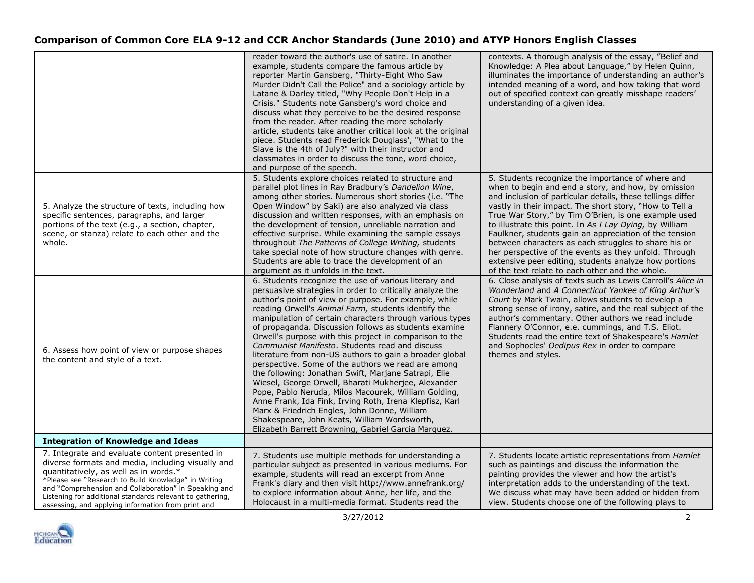|                                                                                                                                                                                                                                                                                                                                                                                  | reader toward the author's use of satire. In another<br>example, students compare the famous article by<br>reporter Martin Gansberg, "Thirty-Eight Who Saw<br>Murder Didn't Call the Police" and a sociology article by<br>Latane & Darley titled, "Why People Don't Help in a<br>Crisis." Students note Gansberg's word choice and<br>discuss what they perceive to be the desired response<br>from the reader. After reading the more scholarly<br>article, students take another critical look at the original<br>piece. Students read Frederick Douglass', "What to the<br>Slave is the 4th of July?" with their instructor and<br>classmates in order to discuss the tone, word choice,<br>and purpose of the speech.                                                                                                                                                                                                                                                    | contexts. A thorough analysis of the essay, "Belief and<br>Knowledge: A Plea about Language," by Helen Quinn,<br>illuminates the importance of understanding an author's<br>intended meaning of a word, and how taking that word<br>out of specified context can greatly misshape readers'<br>understanding of a given idea.                                                                                                                                                                                                                                                                                                                |
|----------------------------------------------------------------------------------------------------------------------------------------------------------------------------------------------------------------------------------------------------------------------------------------------------------------------------------------------------------------------------------|-------------------------------------------------------------------------------------------------------------------------------------------------------------------------------------------------------------------------------------------------------------------------------------------------------------------------------------------------------------------------------------------------------------------------------------------------------------------------------------------------------------------------------------------------------------------------------------------------------------------------------------------------------------------------------------------------------------------------------------------------------------------------------------------------------------------------------------------------------------------------------------------------------------------------------------------------------------------------------|---------------------------------------------------------------------------------------------------------------------------------------------------------------------------------------------------------------------------------------------------------------------------------------------------------------------------------------------------------------------------------------------------------------------------------------------------------------------------------------------------------------------------------------------------------------------------------------------------------------------------------------------|
| 5. Analyze the structure of texts, including how<br>specific sentences, paragraphs, and larger<br>portions of the text (e.g., a section, chapter,<br>scene, or stanza) relate to each other and the<br>whole.                                                                                                                                                                    | 5. Students explore choices related to structure and<br>parallel plot lines in Ray Bradbury's Dandelion Wine,<br>among other stories. Numerous short stories (i.e. "The<br>Open Window" by Saki) are also analyzed via class<br>discussion and written responses, with an emphasis on<br>the development of tension, unreliable narration and<br>effective surprise. While examining the sample essays<br>throughout The Patterns of College Writing, students<br>take special note of how structure changes with genre.<br>Students are able to trace the development of an<br>argument as it unfolds in the text.                                                                                                                                                                                                                                                                                                                                                           | 5. Students recognize the importance of where and<br>when to begin and end a story, and how, by omission<br>and inclusion of particular details, these tellings differ<br>vastly in their impact. The short story, "How to Tell a<br>True War Story," by Tim O'Brien, is one example used<br>to illustrate this point. In As I Lay Dying, by William<br>Faulkner, students gain an appreciation of the tension<br>between characters as each struggles to share his or<br>her perspective of the events as they unfold. Through<br>extensive peer editing, students analyze how portions<br>of the text relate to each other and the whole. |
| 6. Assess how point of view or purpose shapes<br>the content and style of a text.                                                                                                                                                                                                                                                                                                | 6. Students recognize the use of various literary and<br>persuasive strategies in order to critically analyze the<br>author's point of view or purpose. For example, while<br>reading Orwell's Animal Farm, students identify the<br>manipulation of certain characters through various types<br>of propaganda. Discussion follows as students examine<br>Orwell's purpose with this project in comparison to the<br>Communist Manifesto. Students read and discuss<br>literature from non-US authors to gain a broader global<br>perspective. Some of the authors we read are among<br>the following: Jonathan Swift, Marjane Satrapi, Elie<br>Wiesel, George Orwell, Bharati Mukherjee, Alexander<br>Pope, Pablo Neruda, Milos Macourek, William Golding,<br>Anne Frank, Ida Fink, Irving Roth, Irena Klepfisz, Karl<br>Marx & Friedrich Engles, John Donne, William<br>Shakespeare, John Keats, William Wordsworth,<br>Elizabeth Barrett Browning, Gabriel Garcia Marquez. | 6. Close analysis of texts such as Lewis Carroll's Alice in<br>Wonderland and A Connecticut Yankee of King Arthur's<br>Court by Mark Twain, allows students to develop a<br>strong sense of irony, satire, and the real subject of the<br>author's commentary. Other authors we read include<br>Flannery O'Connor, e.e. cummings, and T.S. Eliot.<br>Students read the entire text of Shakespeare's Hamlet<br>and Sophocles' Oedipus Rex in order to compare<br>themes and styles.                                                                                                                                                          |
| <b>Integration of Knowledge and Ideas</b>                                                                                                                                                                                                                                                                                                                                        |                                                                                                                                                                                                                                                                                                                                                                                                                                                                                                                                                                                                                                                                                                                                                                                                                                                                                                                                                                               |                                                                                                                                                                                                                                                                                                                                                                                                                                                                                                                                                                                                                                             |
| 7. Integrate and evaluate content presented in<br>diverse formats and media, including visually and<br>quantitatively, as well as in words.*<br>*Please see "Research to Build Knowledge" in Writing<br>and "Comprehension and Collaboration" in Speaking and<br>Listening for additional standards relevant to gathering,<br>assessing, and applying information from print and | 7. Students use multiple methods for understanding a<br>particular subject as presented in various mediums. For<br>example, students will read an excerpt from Anne<br>Frank's diary and then visit http://www.annefrank.org/<br>to explore information about Anne, her life, and the<br>Holocaust in a multi-media format. Students read the                                                                                                                                                                                                                                                                                                                                                                                                                                                                                                                                                                                                                                 | 7. Students locate artistic representations from <i>Hamlet</i><br>such as paintings and discuss the information the<br>painting provides the viewer and how the artist's<br>interpretation adds to the understanding of the text.<br>We discuss what may have been added or hidden from<br>view. Students choose one of the following plays to                                                                                                                                                                                                                                                                                              |

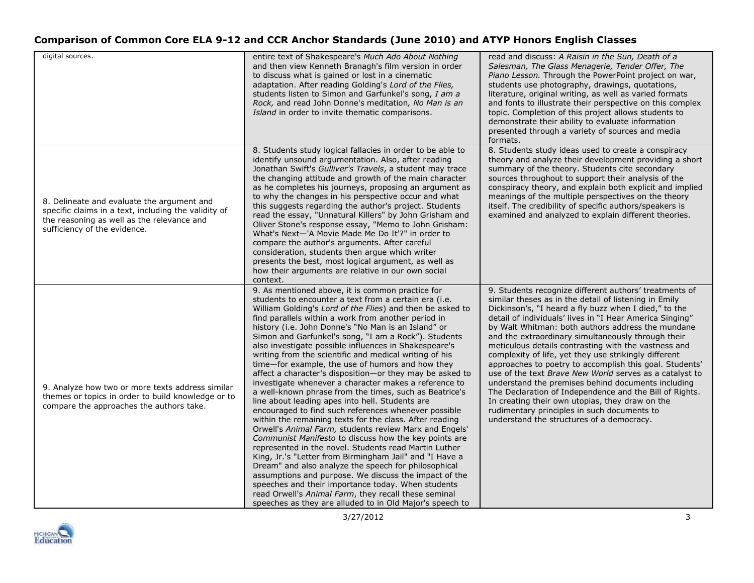| digital sources.                                                                                                                                                                 | entire text of Shakespeare's Much Ado About Nothing<br>and then view Kenneth Branagh's film version in order<br>to discuss what is gained or lost in a cinematic<br>adaptation. After reading Golding's Lord of the Flies,<br>students listen to Simon and Garfunkel's song, I am a<br>Rock, and read John Donne's meditation, No Man is an<br>Island in order to invite thematic comparisons.                                                                                                                                                                                                                                                                                                                                                                                                                                                                                                                                                                                                                                                                                                                                                                                                                                                                                                                                                                                                             | read and discuss: A Raisin in the Sun, Death of a<br>Salesman, The Glass Menagerie, Tender Offer, The<br>Piano Lesson. Through the PowerPoint project on war,<br>students use photography, drawings, quotations,<br>literature, original writing, as well as varied formats<br>and fonts to illustrate their perspective on this complex<br>topic. Completion of this project allows students to<br>demonstrate their ability to evaluate information<br>presented through a variety of sources and media<br>formats.                                                                                                                                                                                                                                                                                                                                         |
|----------------------------------------------------------------------------------------------------------------------------------------------------------------------------------|------------------------------------------------------------------------------------------------------------------------------------------------------------------------------------------------------------------------------------------------------------------------------------------------------------------------------------------------------------------------------------------------------------------------------------------------------------------------------------------------------------------------------------------------------------------------------------------------------------------------------------------------------------------------------------------------------------------------------------------------------------------------------------------------------------------------------------------------------------------------------------------------------------------------------------------------------------------------------------------------------------------------------------------------------------------------------------------------------------------------------------------------------------------------------------------------------------------------------------------------------------------------------------------------------------------------------------------------------------------------------------------------------------|---------------------------------------------------------------------------------------------------------------------------------------------------------------------------------------------------------------------------------------------------------------------------------------------------------------------------------------------------------------------------------------------------------------------------------------------------------------------------------------------------------------------------------------------------------------------------------------------------------------------------------------------------------------------------------------------------------------------------------------------------------------------------------------------------------------------------------------------------------------|
| 8. Delineate and evaluate the argument and<br>specific claims in a text, including the validity of<br>the reasoning as well as the relevance and<br>sufficiency of the evidence. | 8. Students study logical fallacies in order to be able to<br>identify unsound argumentation. Also, after reading<br>Jonathan Swift's Gulliver's Travels, a student may trace<br>the changing attitude and growth of the main character<br>as he completes his journeys, proposing an argument as<br>to why the changes in his perspective occur and what<br>this suggests regarding the author's project. Students<br>read the essay, "Unnatural Killers" by John Grisham and<br>Oliver Stone's response essay, "Memo to John Grisham:<br>What's Next-'A Movie Made Me Do It'?" in order to<br>compare the author's arguments. After careful<br>consideration, students then argue which writer<br>presents the best, most logical argument, as well as<br>how their arguments are relative in our own social<br>context.                                                                                                                                                                                                                                                                                                                                                                                                                                                                                                                                                                                 | 8. Students study ideas used to create a conspiracy<br>theory and analyze their development providing a short<br>summary of the theory. Students cite secondary<br>sources throughout to support their analysis of the<br>conspiracy theory, and explain both explicit and implied<br>meanings of the multiple perspectives on the theory<br>itself. The credibility of specific authors/speakers is<br>examined and analyzed to explain different theories.                                                                                                                                                                                                                                                                                                                                                                                                  |
| 9. Analyze how two or more texts address similar<br>themes or topics in order to build knowledge or to<br>compare the approaches the authors take.                               | 9. As mentioned above, it is common practice for<br>students to encounter a text from a certain era (i.e.<br>William Golding's Lord of the Flies) and then be asked to<br>find parallels within a work from another period in<br>history (i.e. John Donne's "No Man is an Island" or<br>Simon and Garfunkel's song, "I am a Rock"). Students<br>also investigate possible influences in Shakespeare's<br>writing from the scientific and medical writing of his<br>time-for example, the use of humors and how they<br>affect a character's disposition-or they may be asked to<br>investigate whenever a character makes a reference to<br>a well-known phrase from the times, such as Beatrice's<br>line about leading apes into hell. Students are<br>encouraged to find such references whenever possible<br>within the remaining texts for the class. After reading<br>Orwell's Animal Farm, students review Marx and Engels'<br>Communist Manifesto to discuss how the key points are<br>represented in the novel. Students read Martin Luther<br>King, Jr.'s "Letter from Birmingham Jail" and "I Have a<br>Dream" and also analyze the speech for philosophical<br>assumptions and purpose. We discuss the impact of the<br>speeches and their importance today. When students<br>read Orwell's Animal Farm, they recall these seminal<br>speeches as they are alluded to in Old Major's speech to | 9. Students recognize different authors' treatments of<br>similar theses as in the detail of listening in Emily<br>Dickinson's, "I heard a fly buzz when I died," to the<br>detail of individuals' lives in "I Hear America Singing"<br>by Walt Whitman: both authors address the mundane<br>and the extraordinary simultaneously through their<br>meticulous details contrasting with the vastness and<br>complexity of life, yet they use strikingly different<br>approaches to poetry to accomplish this goal. Students'<br>use of the text <i>Brave New World</i> serves as a catalyst to<br>understand the premises behind documents including<br>The Declaration of Independence and the Bill of Rights.<br>In creating their own utopias, they draw on the<br>rudimentary principles in such documents to<br>understand the structures of a democracy. |

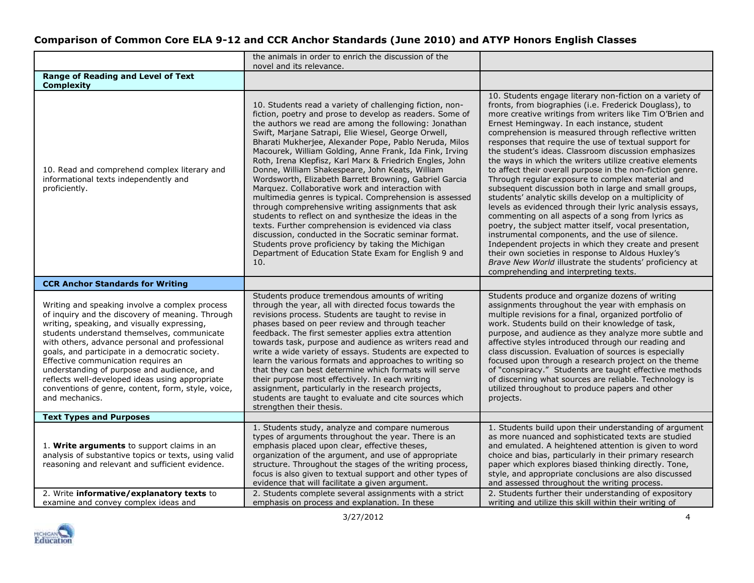|                                                                                                                                                                                                                                                                                                                                                                                                                                                                                                                       | the animals in order to enrich the discussion of the<br>novel and its relevance.                                                                                                                                                                                                                                                                                                                                                                                                                                                                                                                                                                                                                                                                                                                                                                                                                                                                                                                      |                                                                                                                                                                                                                                                                                                                                                                                                                                                                                                                                                                                                                                                                                                                                                                                                                                                                                                                                                                                                                                                                                                                                                          |
|-----------------------------------------------------------------------------------------------------------------------------------------------------------------------------------------------------------------------------------------------------------------------------------------------------------------------------------------------------------------------------------------------------------------------------------------------------------------------------------------------------------------------|-------------------------------------------------------------------------------------------------------------------------------------------------------------------------------------------------------------------------------------------------------------------------------------------------------------------------------------------------------------------------------------------------------------------------------------------------------------------------------------------------------------------------------------------------------------------------------------------------------------------------------------------------------------------------------------------------------------------------------------------------------------------------------------------------------------------------------------------------------------------------------------------------------------------------------------------------------------------------------------------------------|----------------------------------------------------------------------------------------------------------------------------------------------------------------------------------------------------------------------------------------------------------------------------------------------------------------------------------------------------------------------------------------------------------------------------------------------------------------------------------------------------------------------------------------------------------------------------------------------------------------------------------------------------------------------------------------------------------------------------------------------------------------------------------------------------------------------------------------------------------------------------------------------------------------------------------------------------------------------------------------------------------------------------------------------------------------------------------------------------------------------------------------------------------|
| <b>Range of Reading and Level of Text</b><br><b>Complexity</b>                                                                                                                                                                                                                                                                                                                                                                                                                                                        |                                                                                                                                                                                                                                                                                                                                                                                                                                                                                                                                                                                                                                                                                                                                                                                                                                                                                                                                                                                                       |                                                                                                                                                                                                                                                                                                                                                                                                                                                                                                                                                                                                                                                                                                                                                                                                                                                                                                                                                                                                                                                                                                                                                          |
| 10. Read and comprehend complex literary and<br>informational texts independently and<br>proficiently.                                                                                                                                                                                                                                                                                                                                                                                                                | 10. Students read a variety of challenging fiction, non-<br>fiction, poetry and prose to develop as readers. Some of<br>the authors we read are among the following: Jonathan<br>Swift, Marjane Satrapi, Elie Wiesel, George Orwell,<br>Bharati Mukherjee, Alexander Pope, Pablo Neruda, Milos<br>Macourek, William Golding, Anne Frank, Ida Fink, Irving<br>Roth, Irena Klepfisz, Karl Marx & Friedrich Engles, John<br>Donne, William Shakespeare, John Keats, William<br>Wordsworth, Elizabeth Barrett Browning, Gabriel Garcia<br>Marquez. Collaborative work and interaction with<br>multimedia genres is typical. Comprehension is assessed<br>through comprehensive writing assignments that ask<br>students to reflect on and synthesize the ideas in the<br>texts. Further comprehension is evidenced via class<br>discussion, conducted in the Socratic seminar format.<br>Students prove proficiency by taking the Michigan<br>Department of Education State Exam for English 9 and<br>10. | 10. Students engage literary non-fiction on a variety of<br>fronts, from biographies (i.e. Frederick Douglass), to<br>more creative writings from writers like Tim O'Brien and<br>Ernest Hemingway. In each instance, student<br>comprehension is measured through reflective written<br>responses that require the use of textual support for<br>the student's ideas. Classroom discussion emphasizes<br>the ways in which the writers utilize creative elements<br>to affect their overall purpose in the non-fiction genre.<br>Through regular exposure to complex material and<br>subsequent discussion both in large and small groups,<br>students' analytic skills develop on a multiplicity of<br>levels as evidenced through their lyric analysis essays,<br>commenting on all aspects of a song from lyrics as<br>poetry, the subject matter itself, vocal presentation,<br>instrumental components, and the use of silence.<br>Independent projects in which they create and present<br>their own societies in response to Aldous Huxley's<br>Brave New World illustrate the students' proficiency at<br>comprehending and interpreting texts. |
| <b>CCR Anchor Standards for Writing</b>                                                                                                                                                                                                                                                                                                                                                                                                                                                                               |                                                                                                                                                                                                                                                                                                                                                                                                                                                                                                                                                                                                                                                                                                                                                                                                                                                                                                                                                                                                       |                                                                                                                                                                                                                                                                                                                                                                                                                                                                                                                                                                                                                                                                                                                                                                                                                                                                                                                                                                                                                                                                                                                                                          |
| Writing and speaking involve a complex process<br>of inquiry and the discovery of meaning. Through<br>writing, speaking, and visually expressing,<br>students understand themselves, communicate<br>with others, advance personal and professional<br>goals, and participate in a democratic society.<br>Effective communication requires an<br>understanding of purpose and audience, and<br>reflects well-developed ideas using appropriate<br>conventions of genre, content, form, style, voice,<br>and mechanics. | Students produce tremendous amounts of writing<br>through the year, all with directed focus towards the<br>revisions process. Students are taught to revise in<br>phases based on peer review and through teacher<br>feedback. The first semester applies extra attention<br>towards task, purpose and audience as writers read and<br>write a wide variety of essays. Students are expected to<br>learn the various formats and approaches to writing so<br>that they can best determine which formats will serve<br>their purpose most effectively. In each writing<br>assignment, particularly in the research projects,<br>students are taught to evaluate and cite sources which<br>strengthen their thesis.                                                                                                                                                                                                                                                                                     | Students produce and organize dozens of writing<br>assignments throughout the year with emphasis on<br>multiple revisions for a final, organized portfolio of<br>work. Students build on their knowledge of task,<br>purpose, and audience as they analyze more subtle and<br>affective styles introduced through our reading and<br>class discussion. Evaluation of sources is especially<br>focused upon through a research project on the theme<br>of "conspiracy." Students are taught effective methods<br>of discerning what sources are reliable. Technology is<br>utilized throughout to produce papers and other<br>projects.                                                                                                                                                                                                                                                                                                                                                                                                                                                                                                                   |
| <b>Text Types and Purposes</b>                                                                                                                                                                                                                                                                                                                                                                                                                                                                                        |                                                                                                                                                                                                                                                                                                                                                                                                                                                                                                                                                                                                                                                                                                                                                                                                                                                                                                                                                                                                       |                                                                                                                                                                                                                                                                                                                                                                                                                                                                                                                                                                                                                                                                                                                                                                                                                                                                                                                                                                                                                                                                                                                                                          |
| 1. Write arguments to support claims in an<br>analysis of substantive topics or texts, using valid<br>reasoning and relevant and sufficient evidence.                                                                                                                                                                                                                                                                                                                                                                 | 1. Students study, analyze and compare numerous<br>types of arguments throughout the year. There is an<br>emphasis placed upon clear, effective theses,<br>organization of the argument, and use of appropriate<br>structure. Throughout the stages of the writing process,<br>focus is also given to textual support and other types of<br>evidence that will facilitate a given argument.                                                                                                                                                                                                                                                                                                                                                                                                                                                                                                                                                                                                           | 1. Students build upon their understanding of argument<br>as more nuanced and sophisticated texts are studied<br>and emulated. A heightened attention is given to word<br>choice and bias, particularly in their primary research<br>paper which explores biased thinking directly. Tone,<br>style, and appropriate conclusions are also discussed<br>and assessed throughout the writing process.                                                                                                                                                                                                                                                                                                                                                                                                                                                                                                                                                                                                                                                                                                                                                       |
| 2. Write informative/explanatory texts to<br>examine and convey complex ideas and                                                                                                                                                                                                                                                                                                                                                                                                                                     | 2. Students complete several assignments with a strict<br>emphasis on process and explanation. In these                                                                                                                                                                                                                                                                                                                                                                                                                                                                                                                                                                                                                                                                                                                                                                                                                                                                                               | 2. Students further their understanding of expository<br>writing and utilize this skill within their writing of                                                                                                                                                                                                                                                                                                                                                                                                                                                                                                                                                                                                                                                                                                                                                                                                                                                                                                                                                                                                                                          |

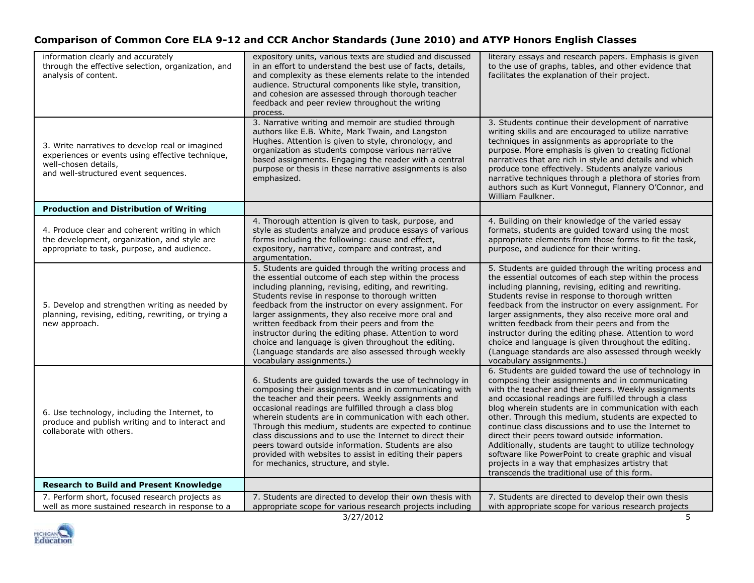| information clearly and accurately<br>through the effective selection, organization, and<br>analysis of content.                                                    | expository units, various texts are studied and discussed<br>in an effort to understand the best use of facts, details,<br>and complexity as these elements relate to the intended<br>audience. Structural components like style, transition,<br>and cohesion are assessed through thorough teacher<br>feedback and peer review throughout the writing                                                                                                                                                                                                                                              | literary essays and research papers. Emphasis is given<br>to the use of graphs, tables, and other evidence that<br>facilitates the explanation of their project.                                                                                                                                                                                                                                                                                                                                                                                                                                                                                                              |
|---------------------------------------------------------------------------------------------------------------------------------------------------------------------|-----------------------------------------------------------------------------------------------------------------------------------------------------------------------------------------------------------------------------------------------------------------------------------------------------------------------------------------------------------------------------------------------------------------------------------------------------------------------------------------------------------------------------------------------------------------------------------------------------|-------------------------------------------------------------------------------------------------------------------------------------------------------------------------------------------------------------------------------------------------------------------------------------------------------------------------------------------------------------------------------------------------------------------------------------------------------------------------------------------------------------------------------------------------------------------------------------------------------------------------------------------------------------------------------|
| 3. Write narratives to develop real or imagined<br>experiences or events using effective technique,<br>well-chosen details,<br>and well-structured event sequences. | process.<br>3. Narrative writing and memoir are studied through<br>authors like E.B. White, Mark Twain, and Langston<br>Hughes. Attention is given to style, chronology, and<br>organization as students compose various narrative<br>based assignments. Engaging the reader with a central<br>purpose or thesis in these narrative assignments is also<br>emphasized.                                                                                                                                                                                                                              | 3. Students continue their development of narrative<br>writing skills and are encouraged to utilize narrative<br>techniques in assignments as appropriate to the<br>purpose. More emphasis is given to creating fictional<br>narratives that are rich in style and details and which<br>produce tone effectively. Students analyze various<br>narrative techniques through a plethora of stories from<br>authors such as Kurt Vonnegut, Flannery O'Connor, and<br>William Faulkner.                                                                                                                                                                                           |
| <b>Production and Distribution of Writing</b>                                                                                                                       |                                                                                                                                                                                                                                                                                                                                                                                                                                                                                                                                                                                                     |                                                                                                                                                                                                                                                                                                                                                                                                                                                                                                                                                                                                                                                                               |
| 4. Produce clear and coherent writing in which<br>the development, organization, and style are<br>appropriate to task, purpose, and audience.                       | 4. Thorough attention is given to task, purpose, and<br>style as students analyze and produce essays of various<br>forms including the following: cause and effect,<br>expository, narrative, compare and contrast, and<br>argumentation.                                                                                                                                                                                                                                                                                                                                                           | 4. Building on their knowledge of the varied essay<br>formats, students are guided toward using the most<br>appropriate elements from those forms to fit the task,<br>purpose, and audience for their writing.                                                                                                                                                                                                                                                                                                                                                                                                                                                                |
| 5. Develop and strengthen writing as needed by<br>planning, revising, editing, rewriting, or trying a<br>new approach.                                              | 5. Students are guided through the writing process and<br>the essential outcome of each step within the process<br>including planning, revising, editing, and rewriting.<br>Students revise in response to thorough written<br>feedback from the instructor on every assignment. For<br>larger assignments, they also receive more oral and<br>written feedback from their peers and from the<br>instructor during the editing phase. Attention to word<br>choice and language is given throughout the editing.<br>(Language standards are also assessed through weekly<br>vocabulary assignments.) | 5. Students are guided through the writing process and<br>the essential outcomes of each step within the process<br>including planning, revising, editing and rewriting.<br>Students revise in response to thorough written<br>feedback from the instructor on every assignment. For<br>larger assignments, they also receive more oral and<br>written feedback from their peers and from the<br>instructor during the editing phase. Attention to word<br>choice and language is given throughout the editing.<br>(Language standards are also assessed through weekly<br>vocabulary assignments.)                                                                           |
| 6. Use technology, including the Internet, to<br>produce and publish writing and to interact and<br>collaborate with others.                                        | 6. Students are guided towards the use of technology in<br>composing their assignments and in communicating with<br>the teacher and their peers. Weekly assignments and<br>occasional readings are fulfilled through a class blog<br>wherein students are in communication with each other.<br>Through this medium, students are expected to continue<br>class discussions and to use the Internet to direct their<br>peers toward outside information. Students are also<br>provided with websites to assist in editing their papers<br>for mechanics, structure, and style.                       | 6. Students are guided toward the use of technology in<br>composing their assignments and in communicating<br>with the teacher and their peers. Weekly assignments<br>and occasional readings are fulfilled through a class<br>blog wherein students are in communication with each<br>other. Through this medium, students are expected to<br>continue class discussions and to use the Internet to<br>direct their peers toward outside information.<br>Additionally, students are taught to utilize technology<br>software like PowerPoint to create graphic and visual<br>projects in a way that emphasizes artistry that<br>transcends the traditional use of this form. |
| <b>Research to Build and Present Knowledge</b>                                                                                                                      |                                                                                                                                                                                                                                                                                                                                                                                                                                                                                                                                                                                                     |                                                                                                                                                                                                                                                                                                                                                                                                                                                                                                                                                                                                                                                                               |
| 7. Perform short, focused research projects as<br>well as more sustained research in response to a                                                                  | 7. Students are directed to develop their own thesis with<br>appropriate scope for various research projects including                                                                                                                                                                                                                                                                                                                                                                                                                                                                              | 7. Students are directed to develop their own thesis<br>with appropriate scope for various research projects                                                                                                                                                                                                                                                                                                                                                                                                                                                                                                                                                                  |
|                                                                                                                                                                     | 3/27/2012                                                                                                                                                                                                                                                                                                                                                                                                                                                                                                                                                                                           | 5                                                                                                                                                                                                                                                                                                                                                                                                                                                                                                                                                                                                                                                                             |

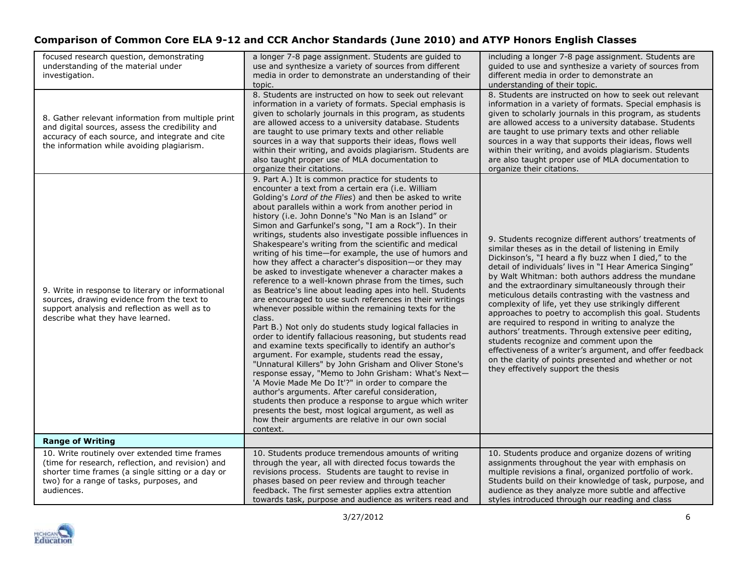| focused research question, demonstrating<br>understanding of the material under<br>investigation.                                                                                                                 | a longer 7-8 page assignment. Students are guided to<br>use and synthesize a variety of sources from different<br>media in order to demonstrate an understanding of their<br>topic.                                                                                                                                                                                                                                                                                                                                                                                                                                                                                                                                                                                                                                                                                                                                                                                                                                                                                                                                                                                                                                                                                                                                                                                                                                                                                                                                                               | including a longer 7-8 page assignment. Students are<br>quided to use and synthesize a variety of sources from<br>different media in order to demonstrate an<br>understanding of their topic.                                                                                                                                                                                                                                                                                                                                                                                                                                                                                                                                                                                                                                                  |
|-------------------------------------------------------------------------------------------------------------------------------------------------------------------------------------------------------------------|---------------------------------------------------------------------------------------------------------------------------------------------------------------------------------------------------------------------------------------------------------------------------------------------------------------------------------------------------------------------------------------------------------------------------------------------------------------------------------------------------------------------------------------------------------------------------------------------------------------------------------------------------------------------------------------------------------------------------------------------------------------------------------------------------------------------------------------------------------------------------------------------------------------------------------------------------------------------------------------------------------------------------------------------------------------------------------------------------------------------------------------------------------------------------------------------------------------------------------------------------------------------------------------------------------------------------------------------------------------------------------------------------------------------------------------------------------------------------------------------------------------------------------------------------|------------------------------------------------------------------------------------------------------------------------------------------------------------------------------------------------------------------------------------------------------------------------------------------------------------------------------------------------------------------------------------------------------------------------------------------------------------------------------------------------------------------------------------------------------------------------------------------------------------------------------------------------------------------------------------------------------------------------------------------------------------------------------------------------------------------------------------------------|
| 8. Gather relevant information from multiple print<br>and digital sources, assess the credibility and<br>accuracy of each source, and integrate and cite<br>the information while avoiding plagiarism.            | 8. Students are instructed on how to seek out relevant<br>information in a variety of formats. Special emphasis is<br>given to scholarly journals in this program, as students<br>are allowed access to a university database. Students<br>are taught to use primary texts and other reliable<br>sources in a way that supports their ideas, flows well<br>within their writing, and avoids plagiarism. Students are<br>also taught proper use of MLA documentation to<br>organize their citations.                                                                                                                                                                                                                                                                                                                                                                                                                                                                                                                                                                                                                                                                                                                                                                                                                                                                                                                                                                                                                                               | 8. Students are instructed on how to seek out relevant<br>information in a variety of formats. Special emphasis is<br>given to scholarly journals in this program, as students<br>are allowed access to a university database. Students<br>are taught to use primary texts and other reliable<br>sources in a way that supports their ideas, flows well<br>within their writing, and avoids plagiarism. Students<br>are also taught proper use of MLA documentation to<br>organize their citations.                                                                                                                                                                                                                                                                                                                                            |
| 9. Write in response to literary or informational<br>sources, drawing evidence from the text to<br>support analysis and reflection as well as to<br>describe what they have learned.                              | 9. Part A.) It is common practice for students to<br>encounter a text from a certain era (i.e. William<br>Golding's Lord of the Flies) and then be asked to write<br>about parallels within a work from another period in<br>history (i.e. John Donne's "No Man is an Island" or<br>Simon and Garfunkel's song, "I am a Rock"). In their<br>writings, students also investigate possible influences in<br>Shakespeare's writing from the scientific and medical<br>writing of his time-for example, the use of humors and<br>how they affect a character's disposition-or they may<br>be asked to investigate whenever a character makes a<br>reference to a well-known phrase from the times, such<br>as Beatrice's line about leading apes into hell. Students<br>are encouraged to use such references in their writings<br>whenever possible within the remaining texts for the<br>class.<br>Part B.) Not only do students study logical fallacies in<br>order to identify fallacious reasoning, but students read<br>and examine texts specifically to identify an author's<br>argument. For example, students read the essay,<br>"Unnatural Killers" by John Grisham and Oliver Stone's<br>response essay, "Memo to John Grisham: What's Next-<br>'A Movie Made Me Do It'?" in order to compare the<br>author's arguments. After careful consideration,<br>students then produce a response to argue which writer<br>presents the best, most logical argument, as well as<br>how their arguments are relative in our own social<br>context. | 9. Students recognize different authors' treatments of<br>similar theses as in the detail of listening in Emily<br>Dickinson's, "I heard a fly buzz when I died," to the<br>detail of individuals' lives in "I Hear America Singing"<br>by Walt Whitman: both authors address the mundane<br>and the extraordinary simultaneously through their<br>meticulous details contrasting with the vastness and<br>complexity of life, yet they use strikingly different<br>approaches to poetry to accomplish this goal. Students<br>are required to respond in writing to analyze the<br>authors' treatments. Through extensive peer editing,<br>students recognize and comment upon the<br>effectiveness of a writer's argument, and offer feedback<br>on the clarity of points presented and whether or not<br>they effectively support the thesis |
| <b>Range of Writing</b>                                                                                                                                                                                           |                                                                                                                                                                                                                                                                                                                                                                                                                                                                                                                                                                                                                                                                                                                                                                                                                                                                                                                                                                                                                                                                                                                                                                                                                                                                                                                                                                                                                                                                                                                                                   |                                                                                                                                                                                                                                                                                                                                                                                                                                                                                                                                                                                                                                                                                                                                                                                                                                                |
| 10. Write routinely over extended time frames<br>(time for research, reflection, and revision) and<br>shorter time frames (a single sitting or a day or<br>two) for a range of tasks, purposes, and<br>audiences. | 10. Students produce tremendous amounts of writing<br>through the year, all with directed focus towards the<br>revisions process. Students are taught to revise in<br>phases based on peer review and through teacher<br>feedback. The first semester applies extra attention<br>towards task, purpose and audience as writers read and                                                                                                                                                                                                                                                                                                                                                                                                                                                                                                                                                                                                                                                                                                                                                                                                                                                                                                                                                                                                                                                                                                                                                                                                           | 10. Students produce and organize dozens of writing<br>assignments throughout the year with emphasis on<br>multiple revisions a final, organized portfolio of work.<br>Students build on their knowledge of task, purpose, and<br>audience as they analyze more subtle and affective<br>styles introduced through our reading and class                                                                                                                                                                                                                                                                                                                                                                                                                                                                                                        |

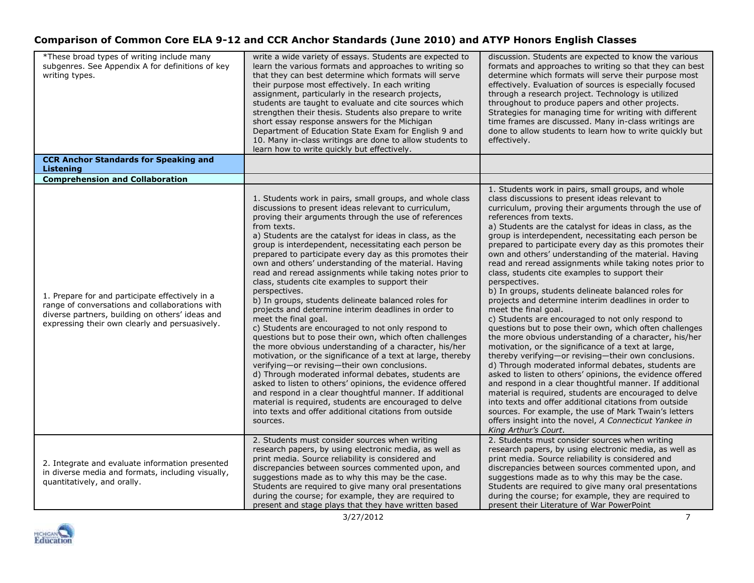| *These broad types of writing include many<br>subgenres. See Appendix A for definitions of key<br>writing types.                                                                                       | write a wide variety of essays. Students are expected to<br>learn the various formats and approaches to writing so<br>that they can best determine which formats will serve<br>their purpose most effectively. In each writing<br>assignment, particularly in the research projects,<br>students are taught to evaluate and cite sources which<br>strengthen their thesis. Students also prepare to write<br>short essay response answers for the Michigan<br>Department of Education State Exam for English 9 and<br>10. Many in-class writings are done to allow students to<br>learn how to write quickly but effectively.                                                                                                                                                                                                                                                                                                                                                                                                                                                                                                                                                                                                                                                                                  | discussion. Students are expected to know the various<br>formats and approaches to writing so that they can best<br>determine which formats will serve their purpose most<br>effectively. Evaluation of sources is especially focused<br>through a research project. Technology is utilized<br>throughout to produce papers and other projects.<br>Strategies for managing time for writing with different<br>time frames are discussed. Many in-class writings are<br>done to allow students to learn how to write quickly but<br>effectively.                                                                                                                                                                                                                                                                                                                                                                                                                                                                                                                                                                                                                                                                                                                                                                                                                                                                                               |
|--------------------------------------------------------------------------------------------------------------------------------------------------------------------------------------------------------|----------------------------------------------------------------------------------------------------------------------------------------------------------------------------------------------------------------------------------------------------------------------------------------------------------------------------------------------------------------------------------------------------------------------------------------------------------------------------------------------------------------------------------------------------------------------------------------------------------------------------------------------------------------------------------------------------------------------------------------------------------------------------------------------------------------------------------------------------------------------------------------------------------------------------------------------------------------------------------------------------------------------------------------------------------------------------------------------------------------------------------------------------------------------------------------------------------------------------------------------------------------------------------------------------------------|-----------------------------------------------------------------------------------------------------------------------------------------------------------------------------------------------------------------------------------------------------------------------------------------------------------------------------------------------------------------------------------------------------------------------------------------------------------------------------------------------------------------------------------------------------------------------------------------------------------------------------------------------------------------------------------------------------------------------------------------------------------------------------------------------------------------------------------------------------------------------------------------------------------------------------------------------------------------------------------------------------------------------------------------------------------------------------------------------------------------------------------------------------------------------------------------------------------------------------------------------------------------------------------------------------------------------------------------------------------------------------------------------------------------------------------------------|
| <b>CCR Anchor Standards for Speaking and</b><br>Listening                                                                                                                                              |                                                                                                                                                                                                                                                                                                                                                                                                                                                                                                                                                                                                                                                                                                                                                                                                                                                                                                                                                                                                                                                                                                                                                                                                                                                                                                                |                                                                                                                                                                                                                                                                                                                                                                                                                                                                                                                                                                                                                                                                                                                                                                                                                                                                                                                                                                                                                                                                                                                                                                                                                                                                                                                                                                                                                                               |
| <b>Comprehension and Collaboration</b>                                                                                                                                                                 |                                                                                                                                                                                                                                                                                                                                                                                                                                                                                                                                                                                                                                                                                                                                                                                                                                                                                                                                                                                                                                                                                                                                                                                                                                                                                                                |                                                                                                                                                                                                                                                                                                                                                                                                                                                                                                                                                                                                                                                                                                                                                                                                                                                                                                                                                                                                                                                                                                                                                                                                                                                                                                                                                                                                                                               |
| 1. Prepare for and participate effectively in a<br>range of conversations and collaborations with<br>diverse partners, building on others' ideas and<br>expressing their own clearly and persuasively. | 1. Students work in pairs, small groups, and whole class<br>discussions to present ideas relevant to curriculum,<br>proving their arguments through the use of references<br>from texts.<br>a) Students are the catalyst for ideas in class, as the<br>group is interdependent, necessitating each person be<br>prepared to participate every day as this promotes their<br>own and others' understanding of the material. Having<br>read and reread assignments while taking notes prior to<br>class, students cite examples to support their<br>perspectives.<br>b) In groups, students delineate balanced roles for<br>projects and determine interim deadlines in order to<br>meet the final goal.<br>c) Students are encouraged to not only respond to<br>questions but to pose their own, which often challenges<br>the more obvious understanding of a character, his/her<br>motivation, or the significance of a text at large, thereby<br>verifying-or revising-their own conclusions.<br>d) Through moderated informal debates, students are<br>asked to listen to others' opinions, the evidence offered<br>and respond in a clear thoughtful manner. If additional<br>material is required, students are encouraged to delve<br>into texts and offer additional citations from outside<br>sources. | 1. Students work in pairs, small groups, and whole<br>class discussions to present ideas relevant to<br>curriculum, proving their arguments through the use of<br>references from texts.<br>a) Students are the catalyst for ideas in class, as the<br>group is interdependent, necessitating each person be<br>prepared to participate every day as this promotes their<br>own and others' understanding of the material. Having<br>read and reread assignments while taking notes prior to<br>class, students cite examples to support their<br>perspectives.<br>b) In groups, students delineate balanced roles for<br>projects and determine interim deadlines in order to<br>meet the final goal.<br>c) Students are encouraged to not only respond to<br>questions but to pose their own, which often challenges<br>the more obvious understanding of a character, his/her<br>motivation, or the significance of a text at large,<br>thereby verifying—or revising—their own conclusions.<br>d) Through moderated informal debates, students are<br>asked to listen to others' opinions, the evidence offered<br>and respond in a clear thoughtful manner. If additional<br>material is required, students are encouraged to delve<br>into texts and offer additional citations from outside<br>sources. For example, the use of Mark Twain's letters<br>offers insight into the novel, A Connecticut Yankee in<br>King Arthur's Court. |
| 2. Integrate and evaluate information presented<br>in diverse media and formats, including visually,<br>quantitatively, and orally.                                                                    | 2. Students must consider sources when writing<br>research papers, by using electronic media, as well as<br>print media. Source reliability is considered and<br>discrepancies between sources commented upon, and<br>suggestions made as to why this may be the case.<br>Students are required to give many oral presentations<br>during the course; for example, they are required to<br>present and stage plays that they have written based                                                                                                                                                                                                                                                                                                                                                                                                                                                                                                                                                                                                                                                                                                                                                                                                                                                                | 2. Students must consider sources when writing<br>research papers, by using electronic media, as well as<br>print media. Source reliability is considered and<br>discrepancies between sources commented upon, and<br>suggestions made as to why this may be the case.<br>Students are required to give many oral presentations<br>during the course; for example, they are required to<br>present their Literature of War PowerPoint                                                                                                                                                                                                                                                                                                                                                                                                                                                                                                                                                                                                                                                                                                                                                                                                                                                                                                                                                                                                         |
|                                                                                                                                                                                                        | 3/27/2012                                                                                                                                                                                                                                                                                                                                                                                                                                                                                                                                                                                                                                                                                                                                                                                                                                                                                                                                                                                                                                                                                                                                                                                                                                                                                                      | $\overline{7}$                                                                                                                                                                                                                                                                                                                                                                                                                                                                                                                                                                                                                                                                                                                                                                                                                                                                                                                                                                                                                                                                                                                                                                                                                                                                                                                                                                                                                                |

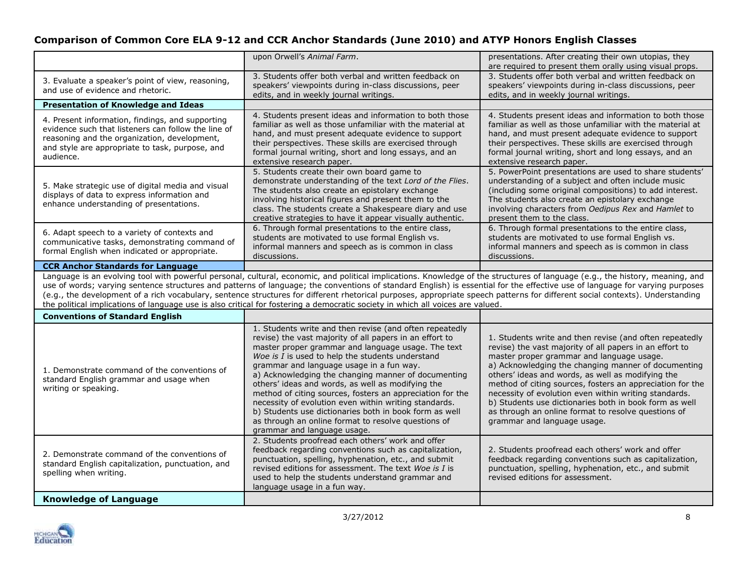| upon Orwell's Animal Farm.                                                                                                                                                                                                                                                                                                                                                                                                                                                                                                                                                                                                                                                                                                                                                      | presentations. After creating their own utopias, they<br>are required to present them orally using visual props.                                                                                                                                                                                                                                                                                                                                                                                                                                  |
|---------------------------------------------------------------------------------------------------------------------------------------------------------------------------------------------------------------------------------------------------------------------------------------------------------------------------------------------------------------------------------------------------------------------------------------------------------------------------------------------------------------------------------------------------------------------------------------------------------------------------------------------------------------------------------------------------------------------------------------------------------------------------------|---------------------------------------------------------------------------------------------------------------------------------------------------------------------------------------------------------------------------------------------------------------------------------------------------------------------------------------------------------------------------------------------------------------------------------------------------------------------------------------------------------------------------------------------------|
| 3. Students offer both verbal and written feedback on<br>3. Evaluate a speaker's point of view, reasoning,<br>speakers' viewpoints during in-class discussions, peer<br>and use of evidence and rhetoric.<br>edits, and in weekly journal writings.                                                                                                                                                                                                                                                                                                                                                                                                                                                                                                                             | 3. Students offer both verbal and written feedback on<br>speakers' viewpoints during in-class discussions, peer<br>edits, and in weekly journal writings.                                                                                                                                                                                                                                                                                                                                                                                         |
| <b>Presentation of Knowledge and Ideas</b>                                                                                                                                                                                                                                                                                                                                                                                                                                                                                                                                                                                                                                                                                                                                      |                                                                                                                                                                                                                                                                                                                                                                                                                                                                                                                                                   |
| 4. Students present ideas and information to both those<br>4. Present information, findings, and supporting<br>familiar as well as those unfamiliar with the material at<br>evidence such that listeners can follow the line of<br>hand, and must present adequate evidence to support<br>reasoning and the organization, development,<br>their perspectives. These skills are exercised through<br>and style are appropriate to task, purpose, and<br>formal journal writing, short and long essays, and an<br>audience.<br>extensive research paper.                                                                                                                                                                                                                          | 4. Students present ideas and information to both those<br>familiar as well as those unfamiliar with the material at<br>hand, and must present adequate evidence to support<br>their perspectives. These skills are exercised through<br>formal journal writing, short and long essays, and an<br>extensive research paper.                                                                                                                                                                                                                       |
| 5. Students create their own board game to<br>demonstrate understanding of the text Lord of the Flies.<br>5. Make strategic use of digital media and visual<br>The students also create an epistolary exchange<br>displays of data to express information and<br>involving historical figures and present them to the<br>enhance understanding of presentations.<br>class. The students create a Shakespeare diary and use<br>creative strategies to have it appear visually authentic.                                                                                                                                                                                                                                                                                         | 5. PowerPoint presentations are used to share students'<br>understanding of a subject and often include music<br>(including some original compositions) to add interest.<br>The students also create an epistolary exchange<br>involving characters from Oedipus Rex and Hamlet to<br>present them to the class.                                                                                                                                                                                                                                  |
| 6. Through formal presentations to the entire class,<br>6. Adapt speech to a variety of contexts and<br>students are motivated to use formal English vs.<br>communicative tasks, demonstrating command of<br>informal manners and speech as is common in class<br>formal English when indicated or appropriate.<br>discussions.                                                                                                                                                                                                                                                                                                                                                                                                                                                 | 6. Through formal presentations to the entire class,<br>students are motivated to use formal English vs.<br>informal manners and speech as is common in class<br>discussions.                                                                                                                                                                                                                                                                                                                                                                     |
| <b>CCR Anchor Standards for Language</b>                                                                                                                                                                                                                                                                                                                                                                                                                                                                                                                                                                                                                                                                                                                                        |                                                                                                                                                                                                                                                                                                                                                                                                                                                                                                                                                   |
| Language is an evolving tool with powerful personal, cultural, economic, and political implications. Knowledge of the structures of language (e.g., the history, meaning, and<br>use of words; varying sentence structures and patterns of language; the conventions of standard English) is essential for the effective use of language for varying purposes<br>(e.g., the development of a rich vocabulary, sentence structures for different rhetorical purposes, appropriate speech patterns for different social contexts). Understanding<br>the political implications of language use is also critical for fostering a democratic society in which all voices are valued.                                                                                                |                                                                                                                                                                                                                                                                                                                                                                                                                                                                                                                                                   |
| <b>Conventions of Standard English</b>                                                                                                                                                                                                                                                                                                                                                                                                                                                                                                                                                                                                                                                                                                                                          |                                                                                                                                                                                                                                                                                                                                                                                                                                                                                                                                                   |
| 1. Students write and then revise (and often repeatedly<br>revise) the vast majority of all papers in an effort to<br>master proper grammar and language usage. The text<br>Woe is $I$ is used to help the students understand<br>grammar and language usage in a fun way.<br>1. Demonstrate command of the conventions of<br>a) Acknowledging the changing manner of documenting<br>standard English grammar and usage when<br>others' ideas and words, as well as modifying the<br>writing or speaking.<br>method of citing sources, fosters an appreciation for the<br>necessity of evolution even within writing standards.<br>b) Students use dictionaries both in book form as well<br>as through an online format to resolve questions of<br>grammar and language usage. | 1. Students write and then revise (and often repeatedly<br>revise) the vast majority of all papers in an effort to<br>master proper grammar and language usage.<br>a) Acknowledging the changing manner of documenting<br>others' ideas and words, as well as modifying the<br>method of citing sources, fosters an appreciation for the<br>necessity of evolution even within writing standards.<br>b) Students use dictionaries both in book form as well<br>as through an online format to resolve questions of<br>grammar and language usage. |
| 2. Students proofread each others' work and offer<br>feedback regarding conventions such as capitalization,<br>2. Demonstrate command of the conventions of<br>punctuation, spelling, hyphenation, etc., and submit<br>standard English capitalization, punctuation, and<br>revised editions for assessment. The text Woe is I is<br>spelling when writing.<br>used to help the students understand grammar and<br>language usage in a fun way.                                                                                                                                                                                                                                                                                                                                 | 2. Students proofread each others' work and offer<br>feedback regarding conventions such as capitalization,<br>punctuation, spelling, hyphenation, etc., and submit<br>revised editions for assessment.                                                                                                                                                                                                                                                                                                                                           |
|                                                                                                                                                                                                                                                                                                                                                                                                                                                                                                                                                                                                                                                                                                                                                                                 |                                                                                                                                                                                                                                                                                                                                                                                                                                                                                                                                                   |